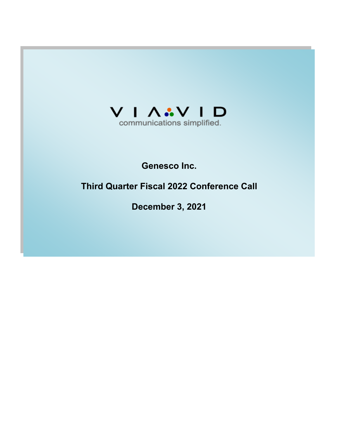

## **Genesco Inc.**

# **Third Quarter Fiscal 2022 Conference Call**

**December 3, 2021**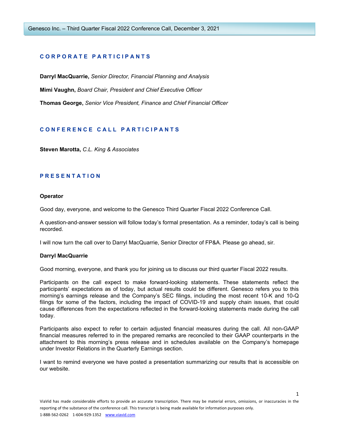## **C O R P O R A T E P A R T I C I P A N T S**

**Darryl MacQuarrie,** *Senior Director, Financial Planning and Analysis*

**Mimi Vaughn,** *Board Chair, President and Chief Executive Officer*

**Thomas George,** *Senior Vice President, Finance and Chief Financial Officer*

## **C O N F E R E N C E C A L L P A R T I C I P A N T S**

**Steven Marotta,** *C.L. King & Associates*

## **P R E S E N T A T I O N**

#### **Operator**

Good day, everyone, and welcome to the Genesco Third Quarter Fiscal 2022 Conference Call.

A question-and-answer session will follow today's formal presentation. As a reminder, today's call is being recorded.

I will now turn the call over to Darryl MacQuarrie, Senior Director of FP&A. Please go ahead, sir.

#### **Darryl MacQuarrie**

Good morning, everyone, and thank you for joining us to discuss our third quarter Fiscal 2022 results.

Participants on the call expect to make forward-looking statements. These statements reflect the participants' expectations as of today, but actual results could be different. Genesco refers you to this morning's earnings release and the Company's SEC filings, including the most recent 10-K and 10-Q filings for some of the factors, including the impact of COVID-19 and supply chain issues, that could cause differences from the expectations reflected in the forward-looking statements made during the call today.

Participants also expect to refer to certain adjusted financial measures during the call. All non-GAAP financial measures referred to in the prepared remarks are reconciled to their GAAP counterparts in the attachment to this morning's press release and in schedules available on the Company's homepage under Investor Relations in the Quarterly Earnings section.

I want to remind everyone we have posted a presentation summarizing our results that is accessible on our website.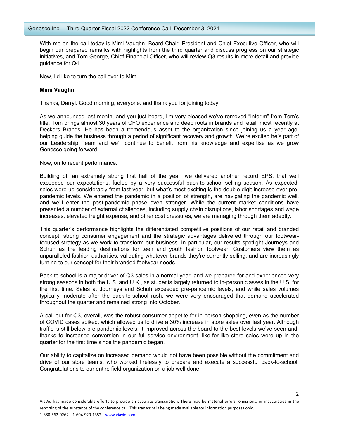With me on the call today is Mimi Vaughn, Board Chair, President and Chief Executive Officer, who will begin our prepared remarks with highlights from the third quarter and discuss progress on our strategic initiatives, and Tom George, Chief Financial Officer, who will review Q3 results in more detail and provide quidance for Q4.

Now, I'd like to turn the call over to Mimi.

#### **Mimi Vaughn**

Thanks, Darryl. Good morning, everyone. and thank you for joining today.

As we announced last month, and you just heard, I'm very pleased we've removed "Interim" from Tom's title. Tom brings almost 30 years of CFO experience and deep roots in brands and retail, most recently at Deckers Brands. He has been a tremendous asset to the organization since joining us a year ago, helping guide the business through a period of significant recovery and growth. We're excited he's part of our Leadership Team and we'll continue to benefit from his knowledge and expertise as we grow Genesco going forward.

Now, on to recent performance.

Building off an extremely strong first half of the year, we delivered another record EPS, that well exceeded our expectations, fueled by a very successful back-to-school selling season. As expected, sales were up considerably from last year, but what's most exciting is the double-digit increase over prepandemic levels. We entered the pandemic in a position of strength, are navigating the pandemic well, and we'll enter the post-pandemic phase even stronger. While the current market conditions have presented a number of external challenges, including supply chain disruptions, labor shortages and wage increases, elevated freight expense, and other cost pressures, we are managing through them adeptly.

This quarter's performance highlights the differentiated competitive positions of our retail and branded concept, strong consumer engagement and the strategic advantages delivered through our footwearfocused strategy as we work to transform our business. In particular, our results spotlight Journeys and Schuh as the leading destinations for teen and youth fashion footwear. Customers view them as unparalleled fashion authorities, validating whatever brands they're currently selling, and are increasingly turning to our concept for their branded footwear needs.

Back-to-school is a major driver of Q3 sales in a normal year, and we prepared for and experienced very strong seasons in both the U.S. and U.K., as students largely returned to in-person classes in the U.S. for the first time. Sales at Journeys and Schuh exceeded pre-pandemic levels, and while sales volumes typically moderate after the back-to-school rush, we were very encouraged that demand accelerated throughout the quarter and remained strong into October.

A call-out for Q3, overall, was the robust consumer appetite for in-person shopping, even as the number of COVID cases spiked, which allowed us to drive a 30% increase in store sales over last year. Although traffic is still below pre-pandemic levels, it improved across the board to the best levels we've seen and, thanks to increased conversion in our full-service environment, like-for-like store sales were up in the quarter for the first time since the pandemic began.

Our ability to capitalize on increased demand would not have been possible without the commitment and drive of our store teams, who worked tirelessly to prepare and execute a successful back-to-school. Congratulations to our entire field organization on a job well done.

 $\overline{\phantom{a}}$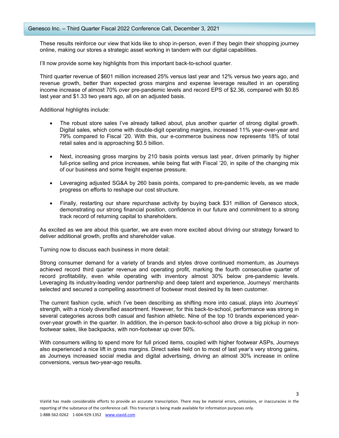These results reinforce our view that kids like to shop in-person, even if they begin their shopping journey online, making our stores a strategic asset working in tandem with our digital capabilities.

I'll now provide some key highlights from this important back-to-school quarter.

Third quarter revenue of \$601 million increased 25% versus last year and 12% versus two years ago, and revenue growth, better than expected gross margins and expense leverage resulted in an operating income increase of almost 70% over pre-pandemic levels and record EPS of \$2.36, compared with \$0.85 last year and \$1.33 two years ago, all on an adjusted basis.

Additional highlights include:

- The robust store sales I've already talked about, plus another quarter of strong digital growth. Digital sales, which come with double-digit operating margins, increased 11% year-over-year and 79% compared to Fiscal '20. With this, our e-commerce business now represents 18% of total retail sales and is approaching \$0.5 billion.
- Next, increasing gross margins by 210 basis points versus last year, driven primarily by higher full-price selling and price increases, while being flat with Fiscal '20, in spite of the changing mix of our business and some freight expense pressure.
- Leveraging adjusted SG&A by 260 basis points, compared to pre-pandemic levels, as we made progress on efforts to reshape our cost structure.
- Finally, restarting our share repurchase activity by buying back \$31 million of Genesco stock, demonstrating our strong financial position, confidence in our future and commitment to a strong track record of returning capital to shareholders.

As excited as we are about this quarter, we are even more excited about driving our strategy forward to deliver additional growth, profits and shareholder value.

Turning now to discuss each business in more detail:

Strong consumer demand for a variety of brands and styles drove continued momentum, as Journeys achieved record third quarter revenue and operating profit, marking the fourth consecutive quarter of record profitability, even while operating with inventory almost 30% below pre-pandemic levels. Leveraging its industry-leading vendor partnership and deep talent and experience, Journeys' merchants selected and secured a compelling assortment of footwear most desired by its teen customer.

The current fashion cycle, which I've been describing as shifting more into casual, plays into Journeys' strength, with a nicely diversified assortment. However, for this back-to-school, performance was strong in several categories across both casual and fashion athletic. Nine of the top 10 brands experienced yearover-year growth in the quarter. In addition, the in-person back-to-school also drove a big pickup in nonfootwear sales, like backpacks, with non-footwear up over 50%.

With consumers willing to spend more for full priced items, coupled with higher footwear ASPs, Journeys also experienced a nice lift in gross margins. Direct sales held on to most of last year's very strong gains, as Journeys increased social media and digital advertising, driving an almost 30% increase in online conversions, versus two-year-ago results.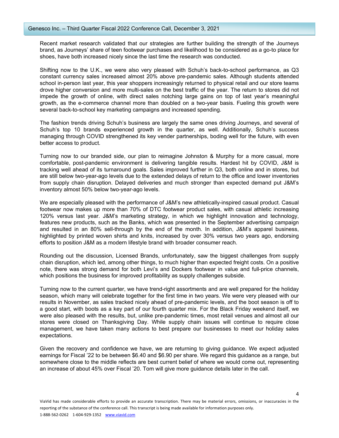Recent market research validated that our strategies are further building the strength of the Journeys brand, as Journeys' share of teen footwear purchases and likelihood to be considered as a go-to place for shoes, have both increased nicely since the last time the research was conducted.

Shifting now to the U.K., we were also very pleased with Schuh's back-to-school performance, as Q3 constant currency sales increased almost 20% above pre-pandemic sales. Although students attended school in-person last year, this year shoppers increasingly returned to physical retail and our store teams drove higher conversion and more multi-sales on the best traffic of the year. The return to stores did not impede the growth of online, with direct sales notching large gains on top of last year's meaningful growth, as the e-commerce channel more than doubled on a two-year basis. Fueling this growth were several back-to-school key marketing campaigns and increased spending.

The fashion trends driving Schuh's business are largely the same ones driving Journeys, and several of Schuh's top 10 brands experienced growth in the quarter, as well. Additionally, Schuh's success managing through COVID strengthened its key vender partnerships, boding well for the future, with even better access to product.

Turning now to our branded side, our plan to reimagine Johnston & Murphy for a more casual, more comfortable, post-pandemic environment is delivering tangible results. Hardest hit by COVID, J&M is tracking well ahead of its turnaround goals. Sales improved further in Q3, both online and in stores, but are still below two-year-ago levels due to the extended delays of return to the office and lower inventories from supply chain disruption. Delayed deliveries and much stronger than expected demand put J&M's inventory almost 50% below two-year-ago levels.

We are especially pleased with the performance of J&M's new athletically-inspired casual product. Casual footwear now makes up more than 70% of DTC footwear product sales, with casual athletic increasing 120% versus last year. J&M's marketing strategy, in which we highlight innovation and technology, features new products, such as the Banks, which was presented in the September advertising campaign and resulted in an 80% sell-through by the end of the month. In addition, J&M's apparel business, highlighted by printed woven shirts and knits, increased by over 30% versus two years ago, endorsing efforts to position J&M as a modern lifestyle brand with broader consumer reach.

Rounding out the discussion, Licensed Brands, unfortunately, saw the biggest challenges from supply chain disruption, which led, among other things, to much higher than expected freight costs. On a positive note, there was strong demand for both Levi's and Dockers footwear in value and full-price channels, which positions the business for improved profitability as supply challenges subside.

Turning now to the current quarter, we have trend-right assortments and are well prepared for the holiday season, which many will celebrate together for the first time in two years. We were very pleased with our results in November, as sales tracked nicely ahead of pre-pandemic levels, and the boot season is off to a good start, with boots as a key part of our fourth quarter mix. For the Black Friday weekend itself, we were also pleased with the results, but, unlike pre-pandemic times, most retail venues and almost all our stores were closed on Thanksgiving Day. While supply chain issues will continue to require close management, we have taken many actions to best prepare our businesses to meet our holiday sales expectations.

Given the recovery and confidence we have, we are returning to giving guidance. We expect adjusted earnings for Fiscal '22 to be between \$6.40 and \$6.90 per share. We regard this guidance as a range, but somewhere close to the middle reflects are best current belief of where we would come out, representing an increase of about 45% over Fiscal '20. Tom will give more guidance details later in the call.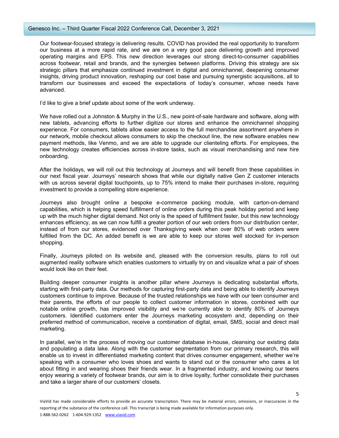#### Genesco Inc. – Third Quarter Fiscal 2022 Conference Call, December 3, 2021

Our footwear-focused strategy is delivering results. COVID has provided the real opportunity to transform our business at a more rapid rate, and we are on a very good pace delivering growth and improved operating margins and EPS. This new direction leverages our strong direct-to-consumer capabilities across footwear, retail and brands, and the synergies between platforms. Driving this strategy are six strategic pillars that emphasize continued investment in digital and omnichannel, deepening consumer insights, driving product innovation, reshaping our cost base and pursuing synergistic acquisitions, all to transform our businesses and exceed the expectations of today's consumer, whose needs have advanced.

I'd like to give a brief update about some of the work underway.

We have rolled out a Johnston & Murphy in the U.S., new point-of-sale hardware and software, along with new tablets, advancing efforts to further digitize our stores and enhance the omnichannel shopping experience. For consumers, tablets allow easier access to the full merchandise assortment anywhere in our network, mobile checkout allows consumers to skip the checkout line, the new software enables new payment methods, like Venmo, and we are able to upgrade our clienteling efforts. For employees, the new technology creates efficiencies across in-store tasks, such as visual merchandising and new hire onboarding.

After the holidays, we will roll out this technology at Journeys and will benefit from these capabilities in our next fiscal year. Journeys' research shows that while our digitally native Gen Z customer interacts with us across several digital touchpoints, up to 75% intend to make their purchases in-store, requiring investment to provide a compelling store experience.

Journeys also brought online a bespoke e-commerce packing module, with carton-on-demand capabilities, which is helping speed fulfillment of online orders during this peak holiday period and keep up with the much higher digital demand. Not only is the speed of fulfillment faster, but this new technology enhances efficiency, as we can now fulfill a greater portion of our web orders from our distribution center, instead of from our stores, evidenced over Thanksgiving week when over 80% of web orders were fulfilled from the DC. An added benefit is we are able to keep our stores well stocked for in-person shopping.

Finally, Journeys piloted on its website and, pleased with the conversion results, plans to roll out augmented reality software which enables customers to virtually try on and visualize what a pair of shoes would look like on their feet.

Building deeper consumer insights is another pillar where Journeys is dedicating substantial efforts, starting with first-party data. Our methods for capturing first-party data and being able to identify Journeys customers continue to improve. Because of the trusted relationships we have with our teen consumer and their parents, the efforts of our people to collect customer information in stores, combined with our notable online growth, has improved visibility and we're currently able to identify 80% of Journeys customers. Identified customers enter the Journeys marketing ecosystem and, depending on their preferred method of communication, receive a combination of digital, email, SMS, social and direct mail marketing.

In parallel, we're in the process of moving our customer database in-house, cleansing our existing data and populating a data lake. Along with the customer segmentation from our primary research, this will enable us to invest in differentiated marketing content that drives consumer engagement, whether we're speaking with a consumer who loves shoes and wants to stand out or the consumer who cares a lot about fitting in and wearing shoes their friends wear. In a fragmented industry, and knowing our teens enjoy wearing a variety of footwear brands, our aim is to drive loyalty, further consolidate their purchases and take a larger share of our customers' closets.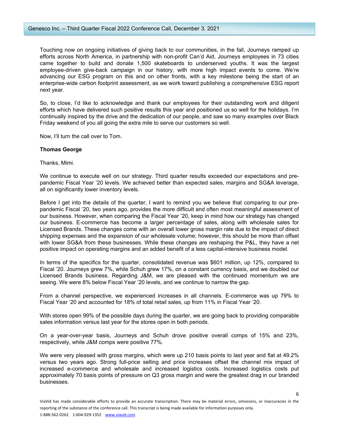Touching now on ongoing initiatives of giving back to our communities, in the fall, Journeys ramped up efforts across North America, in partnership with non-profit Can'd Aid, Journeys employees in 73 cities came together to build and donate 1,500 skateboards to underserved youths. It was the largest employee-driven give-back campaign in our history, with more high impact events to come. We're advancing our ESG program on this and on other fronts, with a key milestone being the start of an enterprise-wide carbon footprint assessment, as we work toward publishing a comprehensive ESG report next year.

So, to close, I'd like to acknowledge and thank our employees for their outstanding work and diligent efforts which have delivered such positive results this year and positioned us so well for the holidays. I'm continually inspired by the drive and the dedication of our people, and saw so many examples over Black Friday weekend of you all going the extra mile to serve our customers so well.

Now, I'll turn the call over to Tom.

#### **Thomas George**

Thanks, Mimi.

We continue to execute well on our strategy. Third quarter results exceeded our expectations and prepandemic Fiscal Year '20 levels. We achieved better than expected sales, margins and SG&A leverage, all on significantly lower inventory levels.

Before I get into the details of the quarter, I want to remind you we believe that comparing to our prepandemic Fiscal '20, two years ago, provides the more difficult and often most meaningful assessment of our business. However, when comparing the Fiscal Year '20, keep in mind how our strategy has changed our business. E-commerce has become a larger percentage of sales, along with wholesale sales for Licensed Brands. These changes come with an overall lower gross margin rate due to the impact of direct shipping expenses and the expansion of our wholesale volume; however, this should be more than offset with lower SG&A from these businesses. While these changes are reshaping the P&L, they have a net positive impact on operating margins and an added benefit of a less capital-intensive business model.

In terms of the specifics for the quarter, consolidated revenue was \$601 million, up 12%, compared to Fiscal '20. Journeys grew 7%, while Schuh grew 17%, on a constant currency basis, and we doubled our Licensed Brands business. Regarding J&M, we are pleased with the continued momentum we are seeing. We were 8% below Fiscal Year '20 levels, and we continue to narrow the gap.

From a channel perspective, we experienced increases in all channels. E-commerce was up 79% to Fiscal Year '20 and accounted for 18% of total retail sales, up from 11% in Fiscal Year '20.

With stores open 99% of the possible days during the quarter, we are going back to providing comparable sales information versus last year for the stores open in both periods.

On a year-over-year basis, Journeys and Schuh drove positive overall comps of 15% and 23%, respectively, while J&M comps were positive 77%.

We were very pleased with gross margins, which were up 210 basis points to last year and flat at 49.2% versus two years ago. Strong full-price selling and price increases offset the channel mix impact of increased e-commerce and wholesale and increased logistics costs. Increased logistics costs put approximately 70 basis points of pressure on Q3 gross margin and were the greatest drag in our branded businesses.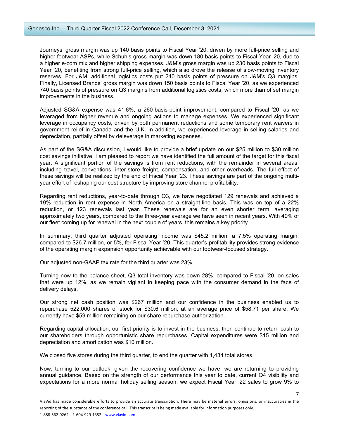Journeys' gross margin was up 140 basis points to Fiscal Year '20, driven by more full-price selling and higher footwear ASPs, while Schuh's gross margin was down 180 basis points to Fiscal Year '20, due to a higher e-com mix and higher shipping expenses. J&M's gross margin was up 230 basis points to Fiscal Year '20, benefiting from strong full-price selling, which also drove the release of slow-moving inventory reserves. For J&M, additional logistics costs put 240 basis points of pressure on J&M's Q3 margins. Finally, Licensed Brands' gross margin was down 150 basis points to Fiscal Year '20, as we experienced 740 basis points of pressure on Q3 margins from additional logistics costs, which more than offset margin improvements in the business.

Adjusted SG&A expense was 41.6%, a 260-basis-point improvement, compared to Fiscal '20, as we leveraged from higher revenue and ongoing actions to manage expenses. We experienced significant leverage in occupancy costs, driven by both permanent reductions and some temporary rent waivers in government relief in Canada and the U.K. In addition, we experienced leverage in selling salaries and depreciation, partially offset by deleverage in marketing expenses.

As part of the SG&A discussion, I would like to provide a brief update on our \$25 million to \$30 million cost savings initiative. I am pleased to report we have identified the full amount of the target for this fiscal year. A significant portion of the savings is from rent reductions, with the remainder in several areas, including travel, conventions, inter-store freight, compensation, and other overheads. The full effect of these savings will be realized by the end of Fiscal Year '23. These savings are part of the ongoing multiyear effort of reshaping our cost structure by improving store channel profitability.

Regarding rent reductions, year-to-date through Q3, we have negotiated 129 renewals and achieved a 19% reduction in rent expense in North America on a straight-line basis. This was on top of a 22% reduction, or 123 renewals last year. These renewals are for an even shorter term, averaging approximately two years, compared to the three-year average we have seen in recent years. With 40% of our fleet coming up for renewal in the next couple of years, this remains a key priority.

In summary, third quarter adjusted operating income was \$45.2 million, a 7.5% operating margin, compared to \$26.7 million, or 5%, for Fiscal Year '20. This quarter's profitability provides strong evidence of the operating margin expansion opportunity achievable with our footwear-focused strategy.

Our adjusted non-GAAP tax rate for the third quarter was 23%.

Turning now to the balance sheet, Q3 total inventory was down 28%, compared to Fiscal '20, on sales that were up 12%, as we remain vigilant in keeping pace with the consumer demand in the face of delivery delays.

Our strong net cash position was \$267 million and our confidence in the business enabled us to repurchase 522,000 shares of stock for \$30.6 million, at an average price of \$58.71 per share. We currently have \$59 million remaining on our share repurchase authorization.

Regarding capital allocation, our first priority is to invest in the business, then continue to return cash to our shareholders through opportunistic share repurchases. Capital expenditures were \$15 million and depreciation and amortization was \$10 million.

We closed five stores during the third quarter, to end the quarter with 1,434 total stores.

Now, turning to our outlook, given the recovering confidence we have, we are returning to providing annual guidance. Based on the strength of our performance this year to date, current Q4 visibility and expectations for a more normal holiday selling season, we expect Fiscal Year '22 sales to grow 9% to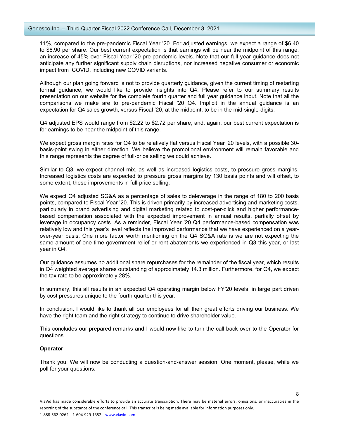11%, compared to the pre-pandemic Fiscal Year '20. For adjusted earnings, we expect a range of \$6.40 to \$6.90 per share. Our best current expectation is that earnings will be near the midpoint of this range, an increase of 45% over Fiscal Year '20 pre-pandemic levels. Note that our full year guidance does not anticipate any further significant supply chain disruptions, nor increased negative consumer or economic impact from COVID, including new COVID variants.

Although our plan going forward is not to provide quarterly guidance, given the current timing of restarting formal guidance, we would like to provide insights into Q4. Please refer to our summary results presentation on our website for the complete fourth quarter and full year guidance input. Note that all the comparisons we make are to pre-pandemic Fiscal '20 Q4. Implicit in the annual guidance is an expectation for Q4 sales growth, versus Fiscal '20, at the midpoint, to be in the mid-single-digits.

Q4 adjusted EPS would range from \$2.22 to \$2.72 per share, and, again, our best current expectation is for earnings to be near the midpoint of this range.

We expect gross margin rates for Q4 to be relatively flat versus Fiscal Year '20 levels, with a possible 30 basis-point swing in either direction. We believe the promotional environment will remain favorable and this range represents the degree of full-price selling we could achieve.

Similar to Q3, we expect channel mix, as well as increased logistics costs, to pressure gross margins. Increased logistics costs are expected to pressure gross margins by 130 basis points and will offset, to some extent, these improvements in full-price selling.

We expect Q4 adjusted SG&A as a percentage of sales to deleverage in the range of 180 to 200 basis points, compared to Fiscal Year '20. This is driven primarily by increased advertising and marketing costs, particularly in brand advertising and digital marketing related to cost-per-click and higher performancebased compensation associated with the expected improvement in annual results, partially offset by leverage in occupancy costs. As a reminder, Fiscal Year '20 Q4 performance-based compensation was relatively low and this year's level reflects the improved performance that we have experienced on a yearover-year basis. One more factor worth mentioning on the Q4 SG&A rate is we are not expecting the same amount of one-time government relief or rent abatements we experienced in Q3 this year, or last year in Q4.

Our guidance assumes no additional share repurchases for the remainder of the fiscal year, which results in Q4 weighted average shares outstanding of approximately 14.3 million. Furthermore, for Q4, we expect the tax rate to be approximately 28%.

In summary, this all results in an expected Q4 operating margin below FY'20 levels, in large part driven by cost pressures unique to the fourth quarter this year.

In conclusion, I would like to thank all our employees for all their great efforts driving our business. We have the right team and the right strategy to continue to drive shareholder value.

This concludes our prepared remarks and I would now like to turn the call back over to the Operator for questions.

#### **Operator**

Thank you. We will now be conducting a question-and-answer session. One moment, please, while we poll for your questions.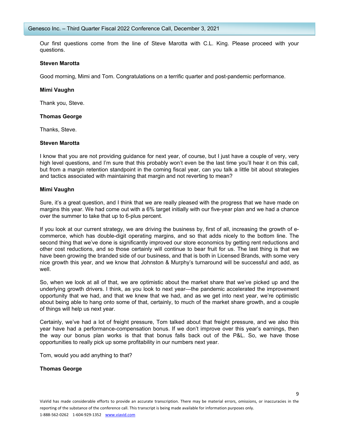Our first questions come from the line of Steve Marotta with C.L. King. Please proceed with your questions.

#### **Steven Marotta**

Good morning, Mimi and Tom. Congratulations on a terrific quarter and post-pandemic performance.

#### **Mimi Vaughn**

Thank you, Steve.

#### **Thomas George**

Thanks, Steve.

#### **Steven Marotta**

I know that you are not providing guidance for next year, of course, but I just have a couple of very, very high level questions, and I'm sure that this probably won't even be the last time you'll hear it on this call, but from a margin retention standpoint in the coming fiscal year, can you talk a little bit about strategies and tactics associated with maintaining that margin and not reverting to mean?

#### **Mimi Vaughn**

Sure, it's a great question, and I think that we are really pleased with the progress that we have made on margins this year. We had come out with a 6% target initially with our five-year plan and we had a chance over the summer to take that up to 6-plus percent.

If you look at our current strategy, we are driving the business by, first of all, increasing the growth of ecommerce, which has double-digit operating margins, and so that adds nicely to the bottom line. The second thing that we've done is significantly improved our store economics by getting rent reductions and other cost reductions, and so those certainly will continue to bear fruit for us. The last thing is that we have been growing the branded side of our business, and that is both in Licensed Brands, with some very nice growth this year, and we know that Johnston & Murphy's turnaround will be successful and add, as well.

So, when we look at all of that, we are optimistic about the market share that we've picked up and the underlying growth drivers. I think, as you look to next year—the pandemic accelerated the improvement opportunity that we had, and that we knew that we had, and as we get into next year, we're optimistic about being able to hang onto some of that, certainly, to much of the market share growth, and a couple of things will help us next year.

Certainly, we've had a lot of freight pressure, Tom talked about that freight pressure, and we also this year have had a performance-compensation bonus. If we don't improve over this year's earnings, then the way our bonus plan works is that that bonus falls back out of the P&L. So, we have those opportunities to really pick up some profitability in our numbers next year.

Tom, would you add anything to that?

#### **Thomas George**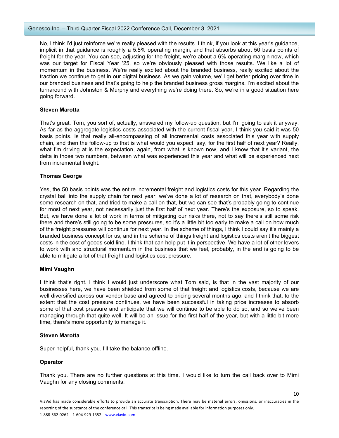No, I think I'd just reinforce we're really pleased with the results. I think, if you look at this year's guidance, implicit in that guidance is roughly a 5.5% operating margin, and that absorbs about 50 basis points of freight for the year. You can see, adjusting for the freight, we're about a 6% operating margin now, which was our target for Fiscal Year '25, so we're obviously pleased with those results. We like a lot of momentum in the business. We're really excited about the branded business, really excited about the traction we continue to get in our digital business. As we gain volume, we'll get better pricing over time in our branded business and that's going to help the branded business gross margins. I'm excited about the turnaround with Johnston & Murphy and everything we're doing there. So, we're in a good situation here going forward.

#### **Steven Marotta**

That's great. Tom, you sort of, actually, answered my follow-up question, but I'm going to ask it anyway. As far as the aggregate logistics costs associated with the current fiscal year, I think you said it was 50 basis points. Is that really all-encompassing of all incremental costs associated this year with supply chain, and then the follow-up to that is what would you expect, say, for the first half of next year? Really, what I'm driving at is the expectation, again, from what is known now, and I know that it's variant, the delta in those two numbers, between what was experienced this year and what will be experienced next from incremental freight.

## **Thomas George**

Yes, the 50 basis points was the entire incremental freight and logistics costs for this year. Regarding the crystal ball into the supply chain for next year, we've done a lot of research on that, everybody's done some research on that, and tried to make a call on that, but we can see that's probably going to continue for most of next year, not necessarily just the first half of next year. There's the exposure, so to speak. But, we have done a lot of work in terms of mitigating our risks there, not to say there's still some risk there and there's still going to be some pressures, so it's a little bit too early to make a call on how much of the freight pressures will continue for next year. In the scheme of things, I think I could say it's mainly a branded business concept for us, and in the scheme of things freight and logistics costs aren't the biggest costs in the cost of goods sold line. I think that can help put it in perspective. We have a lot of other levers to work with and structural momentum in the business that we feel, probably, in the end is going to be able to mitigate a lot of that freight and logistics cost pressure.

#### **Mimi Vaughn**

I think that's right. I think I would just underscore what Tom said, is that in the vast majority of our businesses here, we have been shielded from some of that freight and logistics costs, because we are well diversified across our vendor base and agreed to pricing several months ago, and I think that, to the extent that the cost pressure continues, we have been successful in taking price increases to absorb some of that cost pressure and anticipate that we will continue to be able to do so, and so we've been managing through that quite well. It will be an issue for the first half of the year, but with a little bit more time, there's more opportunity to manage it.

#### **Steven Marotta**

Super-helpful, thank you. I'll take the balance offline.

## **Operator**

Thank you. There are no further questions at this time. I would like to turn the call back over to Mimi Vaughn for any closing comments.